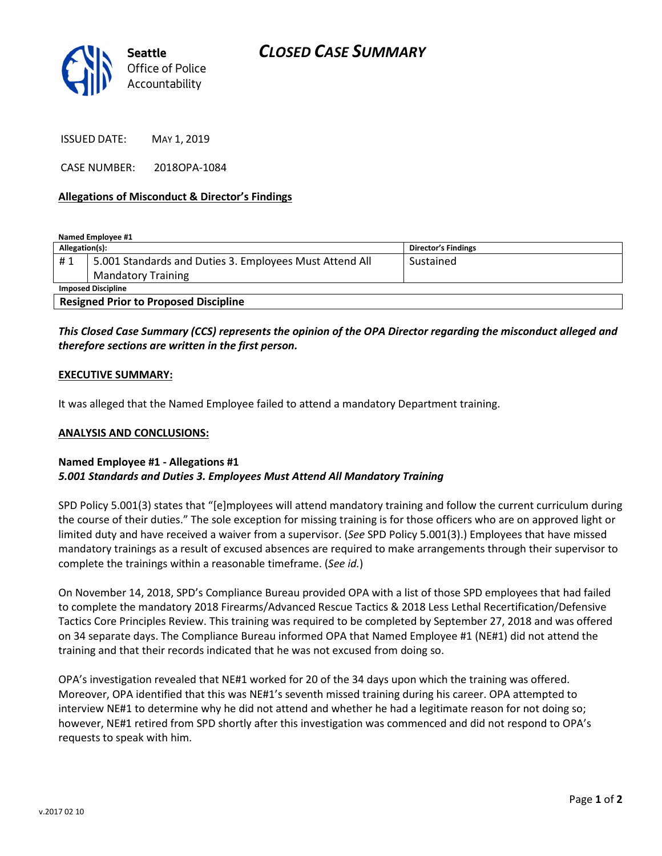

ISSUED DATE: MAY 1, 2019

CASE NUMBER: 2018OPA-1084

## Allegations of Misconduct & Director's Findings

Named Employee #1 Allegation(s): Director's Findings #1 | 5.001 Standards and Duties 3. Employees Must Attend All Mandatory Training Sustained Imposed Discipline Resigned Prior to Proposed Discipline

# This Closed Case Summary (CCS) represents the opinion of the OPA Director regarding the misconduct alleged and therefore sections are written in the first person.

### EXECUTIVE SUMMARY:

It was alleged that the Named Employee failed to attend a mandatory Department training.

#### ANALYSIS AND CONCLUSIONS:

# Named Employee #1 - Allegations #1 5.001 Standards and Duties 3. Employees Must Attend All Mandatory Training

SPD Policy 5.001(3) states that "[e]mployees will attend mandatory training and follow the current curriculum during the course of their duties." The sole exception for missing training is for those officers who are on approved light or limited duty and have received a waiver from a supervisor. (See SPD Policy 5.001(3).) Employees that have missed mandatory trainings as a result of excused absences are required to make arrangements through their supervisor to complete the trainings within a reasonable timeframe. (See id.)

On November 14, 2018, SPD's Compliance Bureau provided OPA with a list of those SPD employees that had failed to complete the mandatory 2018 Firearms/Advanced Rescue Tactics & 2018 Less Lethal Recertification/Defensive Tactics Core Principles Review. This training was required to be completed by September 27, 2018 and was offered on 34 separate days. The Compliance Bureau informed OPA that Named Employee #1 (NE#1) did not attend the training and that their records indicated that he was not excused from doing so.

OPA's investigation revealed that NE#1 worked for 20 of the 34 days upon which the training was offered. Moreover, OPA identified that this was NE#1's seventh missed training during his career. OPA attempted to interview NE#1 to determine why he did not attend and whether he had a legitimate reason for not doing so; however, NE#1 retired from SPD shortly after this investigation was commenced and did not respond to OPA's requests to speak with him.